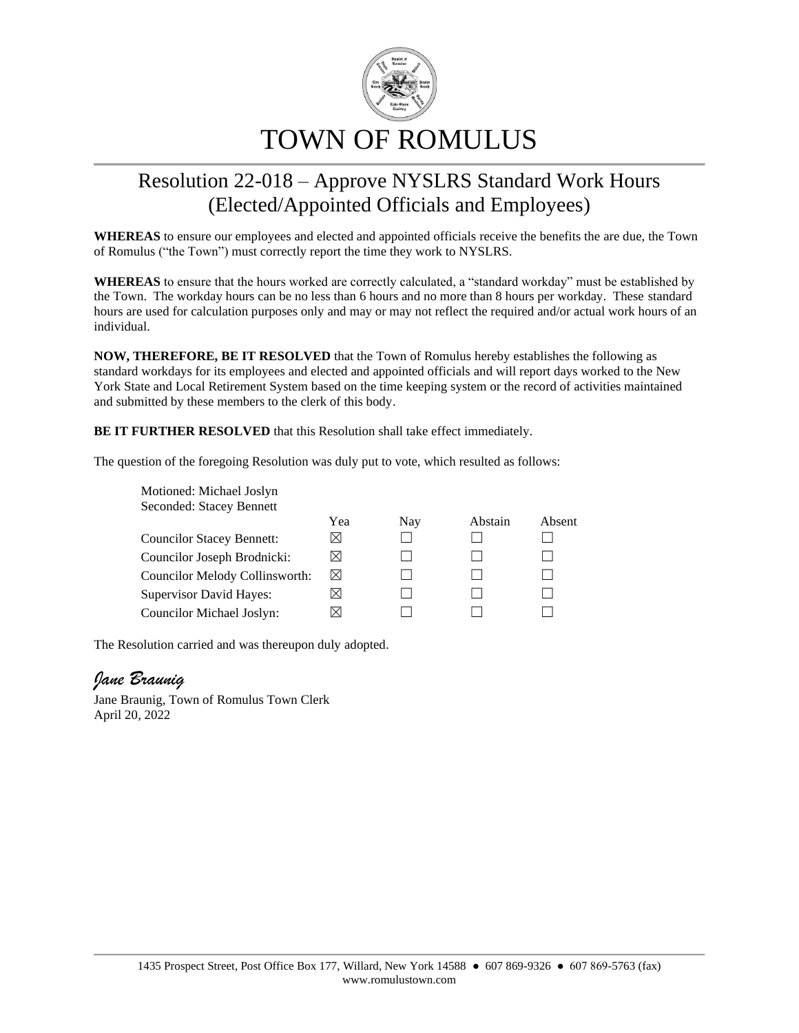

## Resolution 22-018 – Approve NYSLRS Standard Work Hours (Elected/Appointed Officials and Employees)

**WHEREAS** to ensure our employees and elected and appointed officials receive the benefits the are due, the Town of Romulus ("the Town") must correctly report the time they work to NYSLRS.

**WHEREAS** to ensure that the hours worked are correctly calculated, a "standard workday" must be established by the Town. The workday hours can be no less than 6 hours and no more than 8 hours per workday. These standard hours are used for calculation purposes only and may or may not reflect the required and/or actual work hours of an individual.

**NOW, THEREFORE, BE IT RESOLVED** that the Town of Romulus hereby establishes the following as standard workdays for its employees and elected and appointed officials and will report days worked to the New York State and Local Retirement System based on the time keeping system or the record of activities maintained and submitted by these members to the clerk of this body.

**BE IT FURTHER RESOLVED** that this Resolution shall take effect immediately.

The question of the foregoing Resolution was duly put to vote, which resulted as follows:

| Motioned: Michael Joslyn         |     |     |         |        |
|----------------------------------|-----|-----|---------|--------|
| Seconded: Stacey Bennett         |     |     |         |        |
|                                  | Yea | Nay | Abstain | Absent |
| <b>Councilor Stacey Bennett:</b> | ⋈   |     |         |        |
| Councilor Joseph Brodnicki:      | ⋈   |     |         |        |
| Councilor Melody Collinsworth:   | ⊠   |     |         |        |
| <b>Supervisor David Hayes:</b>   | ⋊   |     |         |        |
| Councilor Michael Joslyn:        |     |     |         |        |

The Resolution carried and was thereupon duly adopted.

## *Jane Braunig*

Jane Braunig, Town of Romulus Town Clerk April 20, 2022